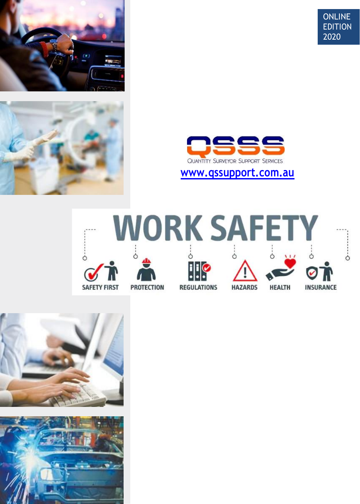







**[www.qssupport.com.au](http://www.qssupport.com.au/)**





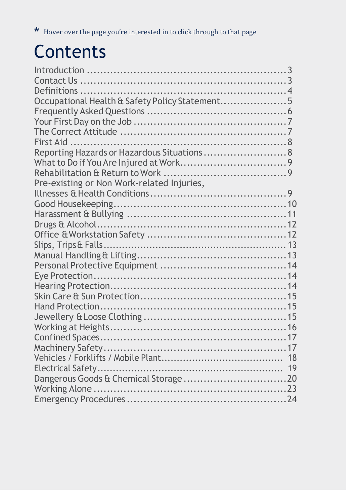# <span id="page-1-0"></span>**Contents**

| Occupational Health & Safety Policy Statement5 |  |
|------------------------------------------------|--|
|                                                |  |
|                                                |  |
|                                                |  |
|                                                |  |
| Reporting Hazards or Hazardous Situations 8    |  |
|                                                |  |
|                                                |  |
| Pre-existing or Non Work-related Injuries,     |  |
|                                                |  |
|                                                |  |
|                                                |  |
|                                                |  |
|                                                |  |
|                                                |  |
|                                                |  |
|                                                |  |
|                                                |  |
|                                                |  |
|                                                |  |
|                                                |  |
|                                                |  |
|                                                |  |
|                                                |  |
|                                                |  |
|                                                |  |
|                                                |  |
|                                                |  |
|                                                |  |
|                                                |  |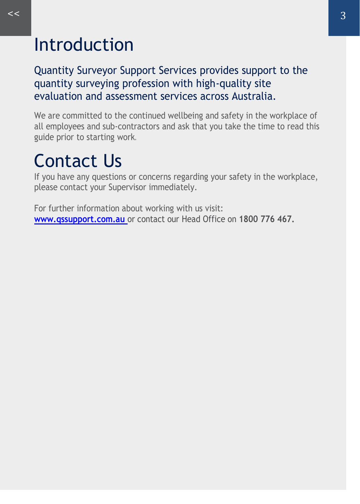### <span id="page-2-0"></span>Introduction

Quantity Surveyor Support Services provides support to the quantity surveying profession with high-quality site evaluation and assessment services across Australia.

We are committed to the continued wellbeing and safety in the workplace of all employees and sub-contractors and ask that you take the time to read this guide prior to starting work.

## Contact Us

If you have any questions or concerns regarding your safety in the workplace, please contact your Supervisor immediately.

For further information about working with us visit: **www.qssupport.com.au** or contact our Head Office on **1800 776 467.**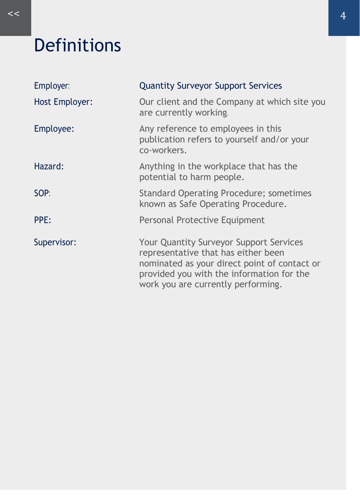## <span id="page-3-0"></span>Definitions

| Employer:      | <b>Quantity Surveyor Support Services</b>                                                                                                                                                                         |
|----------------|-------------------------------------------------------------------------------------------------------------------------------------------------------------------------------------------------------------------|
| Host Employer: | Our client and the Company at which site you<br>are currently working.                                                                                                                                            |
| Employee:      | Any reference to employees in this<br>publication refers to yourself and/or your<br>co-workers.                                                                                                                   |
| Hazard:        | Anything in the workplace that has the<br>potential to harm people.                                                                                                                                               |
| SOP:           | Standard Operating Procedure; sometimes<br>known as Safe Operating Procedure.                                                                                                                                     |
| PPE:           | Personal Protective Equipment                                                                                                                                                                                     |
| Supervisor:    | Your Quantity Surveyor Support Services<br>representative that has either been<br>nominated as your direct point of contact or<br>provided you with the information for the<br>work you are currently performing. |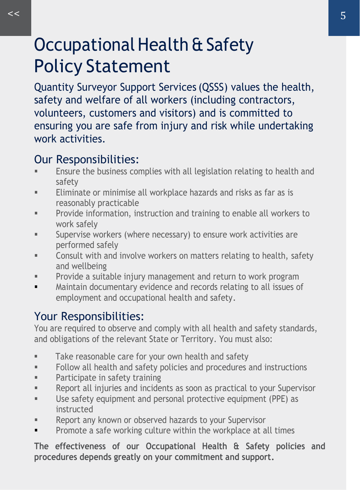### <span id="page-4-0"></span>Occupational Health & Safety Policy Statement

Quantity Surveyor Support Services (QSSS) values the health, safety and welfare of all workers (including contractors, volunteers, customers and visitors) and is committed to ensuring you are safe from injury and risk while undertaking work activities.

#### Our Responsibilities:

- Ensure the business complies with all legislation relating to health and safety
- Eliminate or minimise all workplace hazards and risks as far as is reasonably practicable
- **•** Provide information, instruction and training to enable all workers to work safely
- **EXEC** Supervise workers (where necessary) to ensure work activities are performed safely
- Consult with and involve workers on matters relating to health, safety and wellbeing
- **•** Provide a suitable injury management and return to work program
- Maintain documentary evidence and records relating to all issues of employment and occupational health and safety.

#### Your Responsibilities:

You are required to observe and comply with all health and safety standards, and obligations of the relevant State or Territory. You must also:

- **■** Take reasonable care for your own health and safety
- Follow all health and safety policies and procedures and instructions
- **■** Participate in safety training
- Report all injuries and incidents as soon as practical to your Supervisor
- Use safety equipment and personal protective equipment (PPE) as instructed
- Report any known or observed hazards to your Supervisor
- **•** Promote a safe working culture within the workplace at all times

**The effectiveness of our Occupational Health & Safety policies and procedures depends greatly on your commitment and support.**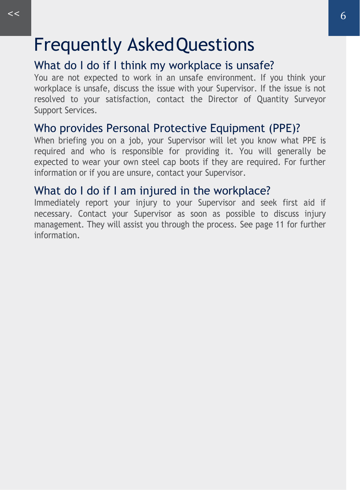### <span id="page-5-0"></span>Frequently AskedQuestions

#### What do I do if I think my workplace is unsafe?

You are not expected to work in an unsafe environment. If you think your workplace is unsafe, discuss the issue with your Supervisor. If the issue is not resolved to your satisfaction, contact the Director of Quantity Surveyor Support Services.

#### Who provides Personal Protective Equipment (PPE)?

When briefing you on a job, your Supervisor will let you know what PPE is required and who is responsible for providing it. You will generally be expected to wear your own steel cap boots if they are required. For further information or if you are unsure, contact your Supervisor.

#### What do I do if I am injured in the workplace?

Immediately report your injury to your Supervisor and seek first aid if necessary. Contact your Supervisor as soon as possible to discuss injury management. They will assist you through the process[. See page 11 f](#page-8-0)or further information.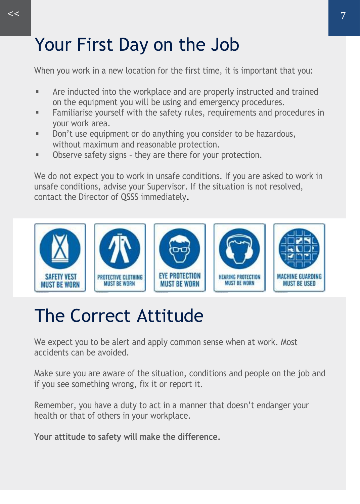### <span id="page-6-0"></span>Your First Day on the Job

When you work in a new location for the first time, it is important that you:

- Are inducted into the workplace and are properly instructed and trained on the equipment you will be using and emergency procedures.
- Familiarise yourself with the safety rules, requirements and procedures in your work area.
- Don't use equipment or do anything you consider to be hazardous, without maximum and reasonable protection.
- Observe safety signs they are there for your protection.

We do not expect you to work in unsafe conditions. If you are asked to work in unsafe conditions, advise your Supervisor. If the situation is not resolved, contact the Director of QSSS immediately.



## The Correct Attitude

We expect you to be alert and apply common sense when at work. Most accidents can be avoided.

Make sure you are aware of the situation, conditions and people on the job and if you see something wrong, fix it or report it.

Remember, you have a duty to act in a manner that doesn't endanger your health or that of others in your workplace.

**Your attitude to safety will make the difference.**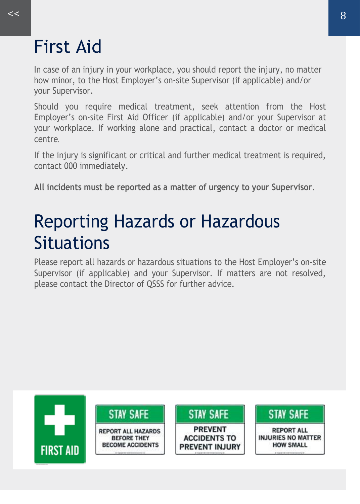### <span id="page-7-0"></span>First Aid

In case of an injury in your workplace, you should report the injury, no matter how minor, to the Host Employer's on-site Supervisor (if applicable) and/or your Supervisor.

Should you require medical treatment, seek attention from the Host Employer's on-site First Aid Officer (if applicable) and/or your Supervisor at your workplace. If working alone and practical, contact a doctor or medical centre.

If the injury is significant or critical and further medical treatment is required, contact 000 immediately.

**All incidents must be reported as a matter of urgency to your Supervisor**.

### Reporting Hazards or Hazardous **Situations**

Please report all hazards or hazardous situations to the Host Employer's on-site Supervisor (if applicable) and your Supervisor. If matters are not resolved, please contact the Director of QSSS for further advice.

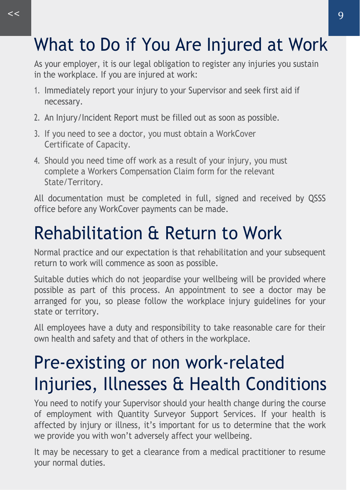## <span id="page-8-0"></span>What to Do if You Are Injured at Work

As your employer, it is our legal obligation to register any injuries you sustain in the workplace. If you are injured at work:

- 1. Immediately report your injury to your Supervisor and seek first aid if necessary.
- 2. An Injury/Incident Report must be filled out as soon as possible.
- 3. If you need to see a doctor, you must obtain a WorkCover Certificate of Capacity.
- 4. Should you need time off work as a result of your injury, you must complete a Workers Compensation Claim form for the relevant State/Territory.

All documentation must be completed in full, signed and received by QSSS office before any WorkCover payments can be made.

### Rehabilitation & Return to Work

Normal practice and our expectation is that rehabilitation and your subsequent return to work will commence as soon as possible.

Suitable duties which do not jeopardise your wellbeing will be provided where possible as part of this process. An appointment to see a doctor may be arranged for you, so please follow the workplace injury guidelines for your state or territory.

All employees have a duty and responsibility to take reasonable care for their own health and safety and that of others in the workplace.

## Pre-existing or non work-related Injuries, Illnesses & Health Conditions

You need to notify your Supervisor should your health change during the course of employment with Quantity Surveyor Support Services. If your health is affected by injury or illness, it's important for us to determine that the work we provide you with won't adversely affect your wellbeing.

It may be necessary to get a clearance from a medical practitioner to resume your normal duties.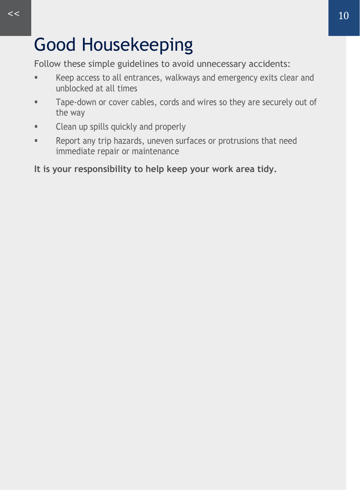## <span id="page-9-0"></span>Good Housekeeping

Follow these simple guidelines to avoid unnecessary accidents:

- Keep access to all entrances, walkways and emergency exits clear and unblocked at all times
- **EXEC** Tape-down or cover cables, cords and wires so they are securely out of the way
- Clean up spills quickly and properly
- Report any trip hazards, uneven surfaces or protrusions that need immediate repair or maintenance

**It is your responsibility to help keep your work area tidy.**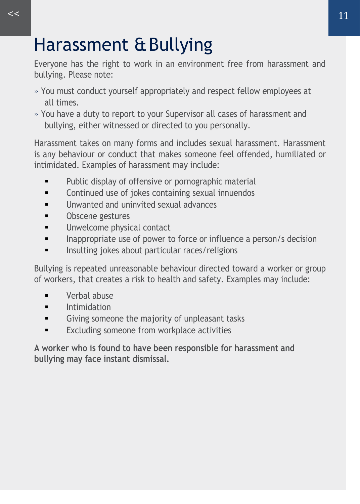## <span id="page-10-0"></span>Harassment &Bullying

Everyone has the right to work in an environment free from harassment and bullying. Please note:

- » You must conduct yourself appropriately and respect fellow employees at all times.
- » You have a duty to report to your Supervisor all cases of harassment and bullying, either witnessed or directed to you personally.

Harassment takes on many forms and includes sexual harassment. Harassment is any behaviour or conduct that makes someone feel offended, humiliated or intimidated. Examples of harassment may include:

- **•** Public display of offensive or pornographic material
- Continued use of jokes containing sexual innuendos
- **■** Unwanted and uninvited sexual advances
- Obscene gestures
- **■** Unwelcome physical contact
- Inappropriate use of power to force or influence a person/s decision
- Insulting jokes about particular races/religions

Bullying is repeated unreasonable behaviour directed toward a worker or group of workers, that creates a risk to health and safety. Examples may include:

- Verbal abuse
- **■** Intimidation
- **•** Giving someone the majority of unpleasant tasks
- Excluding someone from workplace activities

**A worker who is found to have been responsible for harassment and bullying may face instant dismissal.**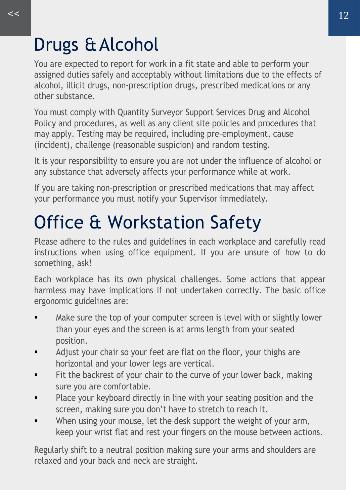### <span id="page-11-0"></span>Drugs &Alcohol

You are expected to report for work in a fit state and able to perform your assigned duties safely and acceptably without limitations due to the effects of alcohol, illicit drugs, non-prescription drugs, prescribed medications or any other substance.

You must comply with Quantity Surveyor Support Services Drug and Alcohol Policy and procedures, as well as any client site policies and procedures that may apply. Testing may be required, including pre-employment, cause (incident), challenge (reasonable suspicion) and random testing.

It is your responsibility to ensure you are not under the influence of alcohol or any substance that adversely affects your performance while at work.

If you are taking non-prescription or prescribed medications that may affect your performance you must notify your Supervisor immediately.

# Office & Workstation Safety

Please adhere to the rules and guidelines in each workplace and carefully read instructions when using office equipment. If you are unsure of how to do something, ask!

Each workplace has its own physical challenges. Some actions that appear harmless may have implications if not undertaken correctly. The basic office ergonomic guidelines are:

- Make sure the top of your computer screen is level with or slightly lower than your eyes and the screen is at arms length from your seated position.
- Adjust your chair so your feet are flat on the floor, your thighs are horizontal and your lower legs are vertical.
- Fit the backrest of your chair to the curve of your lower back, making sure you are comfortable.
- Place your keyboard directly in line with your seating position and the screen, making sure you don't have to stretch to reach it.
- When using your mouse, let the desk support the weight of your arm, keep your wrist flat and rest your fingers on the mouse between actions.

Regularly shift to a neutral position making sure your arms and shoulders are relaxed and your back and neck are straight.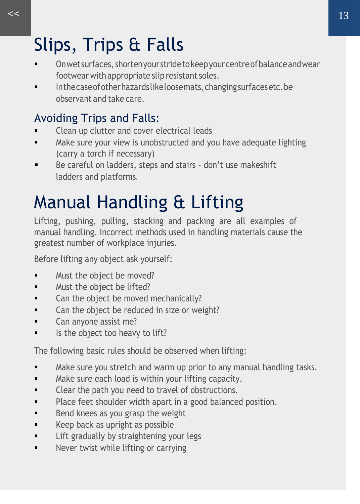# <span id="page-12-0"></span>Slips, Trips & Falls

- On wet surfaces, shorten your stride to keep your centre of balance and wear footwear with appropriate slip resistant soles.
- Inthecaseofotherhazardslikeloosemats,changingsurfacesetc.be observant and take care.

#### Avoiding Trips and Falls:

- Clean up clutter and cover electrical leads
- **■** Make sure your view is unobstructed and you have adequate lighting (carry a torch if necessary)
- Be careful on ladders, steps and stairs don't use makeshift ladders and platforms.

# Manual Handling & Lifting

Lifting, pushing, pulling, stacking and packing are all examples of manual handling. Incorrect methods used in handling materials cause the greatest number of workplace injuries.

Before lifting any object ask yourself:

- Must the object be moved?
- Must the object be lifted?
- Can the object be moved mechanically?
- Can the object be reduced in size or weight?
- Can anyone assist me?
- Is the object too heavy to lift?

The following basic rules should be observed when lifting:

- Make sure you stretch and warm up prior to any manual handling tasks.
- Make sure each load is within your lifting capacity.
- Clear the path you need to travel of obstructions.
- Place feet shoulder width apart in a good balanced position.
- Bend knees as you grasp the weight
- Keep back as upright as possible
- **■** Lift gradually by straightening your legs
- **•** Never twist while lifting or carrying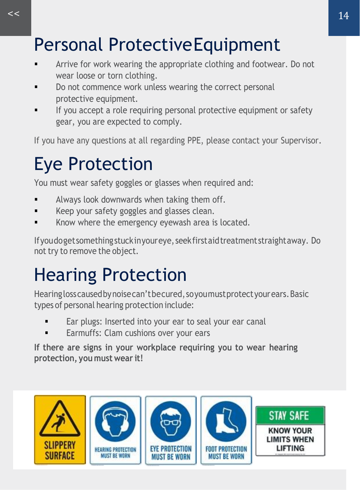## <span id="page-13-0"></span>Personal ProtectiveEquipment

- Arrive for work wearing the appropriate clothing and footwear. Do not wear loose or torn clothing.
- Do not commence work unless wearing the correct personal protective equipment.
- **■** If you accept a role requiring personal protective equipment or safety gear, you are expected to comply.

If you have any questions at all regarding PPE, please contact your Supervisor.

### Eye Protection

You must wear safety goggles or glasses when required and:

- Always look downwards when taking them off.
- Keep your safety goggles and glasses clean.
- Know where the emergency eyewash area is located.

Ifyoudogetsomethingstuckinyoureye, seekfirstaidtreatment straightaway. Do not try to remove the object.

## Hearing Protection

Hearinglosscausedbynoisecan'tbecured,soyoumustprotectyourears.Basic types of personal hearing protection include:

- Ear plugs: Inserted into your ear to seal your ear canal
- Earmuffs: Clam cushions over your ears

**If there are signs in your workplace requiring you to wear hearing protection, you must wear it!**

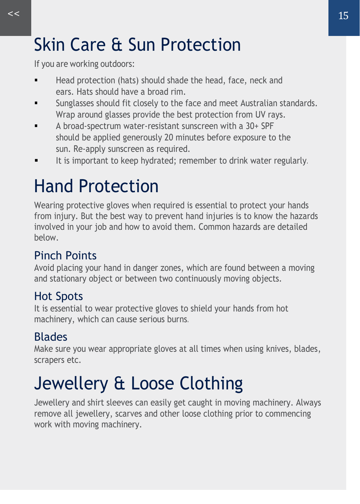## <span id="page-14-0"></span>Skin Care & Sun Protection

If you are working outdoors:

- Head protection (hats) should shade the head, face, neck and ears. Hats should have a broad rim.
- **■** Sunglasses should fit closely to the face and meet Australian standards. Wrap around glasses provide the best protection from UV rays.
- A broad-spectrum water-resistant sunscreen with a 30+ SPF should be applied generously 20 minutes before exposure to the sun. Re-apply sunscreen as required.
- It is important to keep hydrated; remember to drink water regularly.

## Hand Protection

Wearing protective gloves when required is essential to protect your hands from injury. But the best way to prevent hand injuries is to know the hazards involved in your job and how to avoid them. Common hazards are detailed below.

#### Pinch Points

Avoid placing your hand in danger zones, which are found between a moving and stationary object or between two continuously moving objects.

#### Hot Spots

It is essential to wear protective gloves to shield your hands from hot machinery, which can cause serious burns.

#### Blades

Make sure you wear appropriate gloves at all times when using knives, blades, scrapers etc.

# Jewellery & Loose Clothing

Jewellery and shirt sleeves can easily get caught in moving machinery. Always remove all jewellery, scarves and other loose clothing prior to commencing work with moving machinery.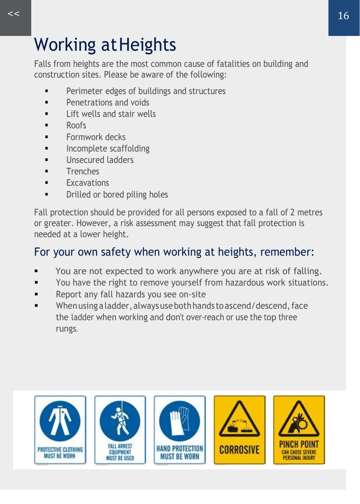<span id="page-15-0"></span>Falls from heights are the most common cause of fatalities on building and construction sites. Please be aware of the following:

- Perimeter edges of buildings and structures
- Penetrations and voids
- **■** Lift wells and stair wells
- Roofs
- Formwork decks
- **•** Incomplete scaffolding
- **■** Unsecured ladders
- Trenches
- Excavations
- **Drilled or bored piling holes**

Fall protection should be provided for all persons exposed to a fall of 2 metres or greater. However, a risk assessment may suggest that fall protection is needed at a lower height.

#### For your own safety when working at heights, remember:

- You are not expected to work anywhere you are at risk of falling.
- You have the right to remove yourself from hazardous work situations.
- Report any fall hazards you see on-site
- When using a ladder, always use both hands to ascend/descend, face the ladder when working and don't over-reach or use the top three rungs.

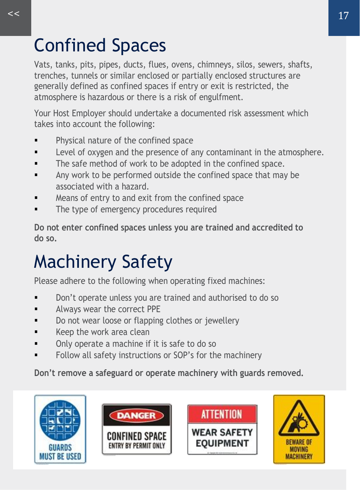## Confined Spaces

Vats, tanks, pits, pipes, ducts, flues, ovens, chimneys, silos, sewers, shafts, trenches, tunnels or similar enclosed or partially enclosed structures are generally defined as confined spaces if entry or exit is restricted, the atmosphere is hazardous or there is a risk of engulfment.

Your Host Employer should undertake a documented risk assessment which takes into account the following:

- Physical nature of the confined space
- Level of oxygen and the presence of any contaminant in the atmosphere.
- The safe method of work to be adopted in the confined space.
- Any work to be performed outside the confined space that may be associated with a hazard.
- Means of entry to and exit from the confined space
- The type of emergency procedures required

**Do not enter confined spaces unless you are trained and accredited to do so.**

# Machinery Safety

Please adhere to the following when operating fixed machines:

- Don't operate unless you are trained and authorised to do so
- **■** Always wear the correct PPE
- Do not wear loose or flapping clothes or jewellery
- Keep the work area clean
- Only operate a machine if it is safe to do so
- Follow all safety instructions or SOP's for the machinery

**Don't remove a safeguard or operate machinery with guards removed.**

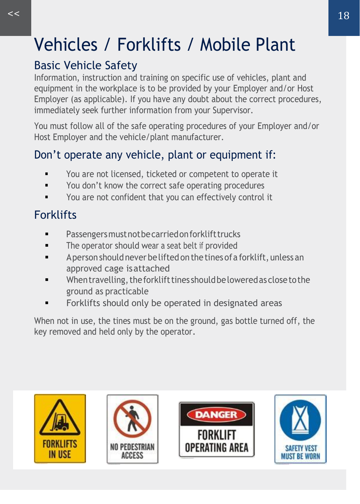# <span id="page-17-0"></span>Vehicles / Forklifts / Mobile Plant

#### Basic Vehicle Safety

Information, instruction and training on specific use of vehicles, plant and equipment in the workplace is to be provided by your Employer and/or Host Employer (as applicable). If you have any doubt about the correct procedures, immediately seek further information from your Supervisor.

You must follow all of the safe operating procedures of your Employer and/or Host Employer and the vehicle/plant manufacturer.

#### Don't operate any vehicle, plant or equipment if:

- You are not licensed, ticketed or competent to operate it
- You don't know the correct safe operating procedures
- You are not confident that you can effectively control it

### **Forklifts**

- Passengers must not be carried on forklift trucks
- **•** The operator should wear a seat belt if provided
- Aperson should never be lifted on the tines of a forklift, unless an approved cage isattached
- When travelling, the forklift tines should be lowered as close to the ground as practicable
- Forklifts should only be operated in designated areas

When not in use, the tines must be on the ground, gas bottle turned off, the key removed and held only by the operator.

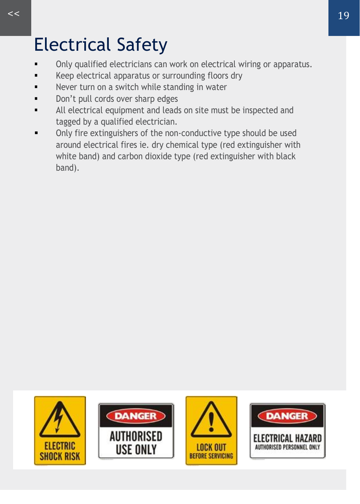## <span id="page-18-0"></span>Electrical Safety

- Only qualified electricians can work on electrical wiring or apparatus.
- Keep electrical apparatus or surrounding floors dry
- Never turn on a switch while standing in water
- Don't pull cords over sharp edges
- All electrical equipment and leads on site must be inspected and tagged by a qualified electrician.
- Only fire extinguishers of the non-conductive type should be used around electrical fires ie. dry chemical type (red extinguisher with white band) and carbon dioxide type (red extinguisher with black band).

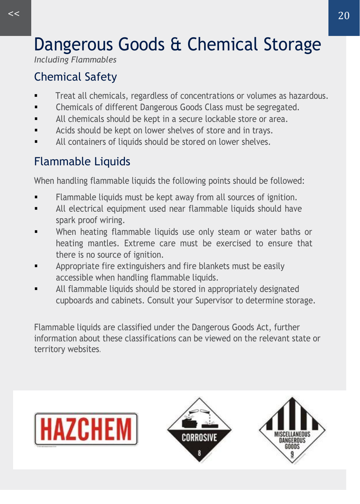# Dangerous Goods & Chemical Storage

*Including Flammables*

### Chemical Safety

- Treat all chemicals, regardless of concentrations or volumes as hazardous.
- Chemicals of different Dangerous Goods Class must be segregated.
- All chemicals should be kept in a secure lockable store or area.
- Acids should be kept on lower shelves of store and in trays.
- All containers of liquids should be stored on lower shelves.

### Flammable Liquids

When handling flammable liquids the following points should be followed:

- Flammable liquids must be kept away from all sources of ignition.
- All electrical equipment used near flammable liquids should have spark proof wiring.
- When heating flammable liquids use only steam or water baths or heating mantles. Extreme care must be exercised to ensure that there is no source of ignition.
- Appropriate fire extinguishers and fire blankets must be easily accessible when handling flammable liquids.
- All flammable liquids should be stored in appropriately designated cupboards and cabinets. Consult your Supervisor to determine storage.

Flammable liquids are classified under the Dangerous Goods Act, further information about these classifications can be viewed on the relevant state or territory websites.





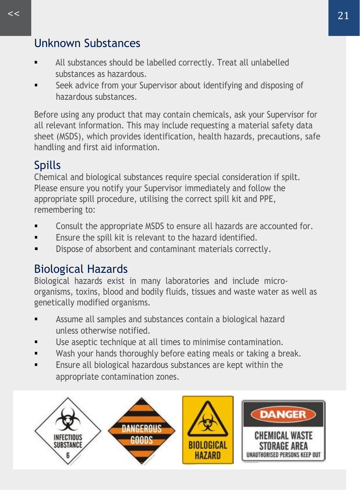#### Unknown Substances

- All substances should be labelled correctly. Treat all unlabelled substances as hazardous.
- **EXECT** Seek advice from your Supervisor about identifying and disposing of hazardous substances.

Before using any product that may contain chemicals, ask your Supervisor for all relevant information. This may include requesting a material safety data sheet (MSDS), which provides identification, health hazards, precautions, safe handling and first aid information.

#### Spills

Chemical and biological substances require special consideration if spilt. Please ensure you notify your Supervisor immediately and follow the appropriate spill procedure, utilising the correct spill kit and PPE, remembering to:

- Consult the appropriate MSDS to ensure all hazards are accounted for.
- Ensure the spill kit is relevant to the hazard identified.
- Dispose of absorbent and contaminant materials correctly.

#### Biological Hazards

Biological hazards exist in many laboratories and include microorganisms, toxins, blood and bodily fluids, tissues and waste water as well as genetically modified organisms.

- Assume all samples and substances contain a biological hazard unless otherwise notified.
- Use aseptic technique at all times to minimise contamination.
- Wash your hands thoroughly before eating meals or taking a break.
- Ensure all biological hazardous substances are kept within the appropriate contamination zones.

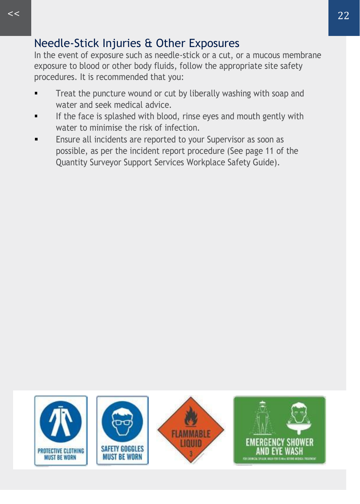#### Needle-Stick Injuries & Other Exposures

In the event of exposure such as needle-stick or a cut, or a mucous membrane exposure to blood or other body fluids, follow the appropriate site safety procedures. It is recommended that you:

- **•** Treat the puncture wound or cut by liberally washing with soap and water and seek medical advice.
- If the face is splashed with blood, rinse eyes and mouth gently with water to minimise the risk of infection.
- Ensure all incidents are reported to your Supervisor as soon as possible, as per the incident report procedure [\(See page 11 of the](#page-8-0)  [Quantity Surveyor Support Services](#page-8-0) Workplace Safety Guide).

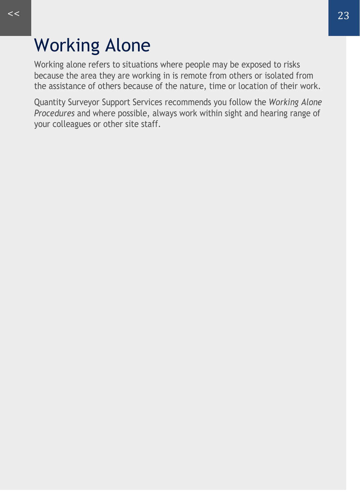### <span id="page-22-0"></span>Working Alone

Working alone refers to situations where people may be exposed to risks because the area they are working in is remote from others or isolated from the assistance of others because of the nature, time or location of their work.

Quantity Surveyor Support Services recommends you follow the *Working Alone Procedures* and where possible, always work within sight and hearing range of your colleagues or other site staff.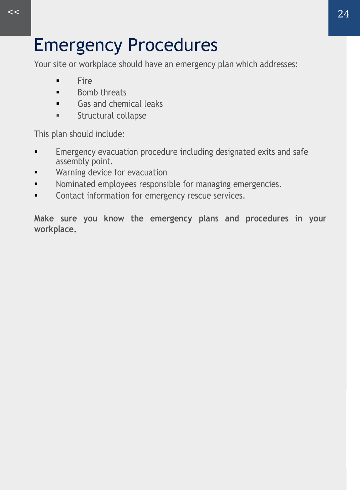### Emergency Procedures

Your site or workplace should have an emergency plan which addresses:

- **Fire**
- Bomb threats
- Gas and chemical leaks
- Structural collapse

This plan should include:

- **Emergency evacuation procedure including designated exits and safe** assembly point.
- **■** Warning device for evacuation
- Nominated employees responsible for managing emergencies.
- Contact information for emergency rescue services.

**Make sure you know the emergency plans and procedures in your workplace.**